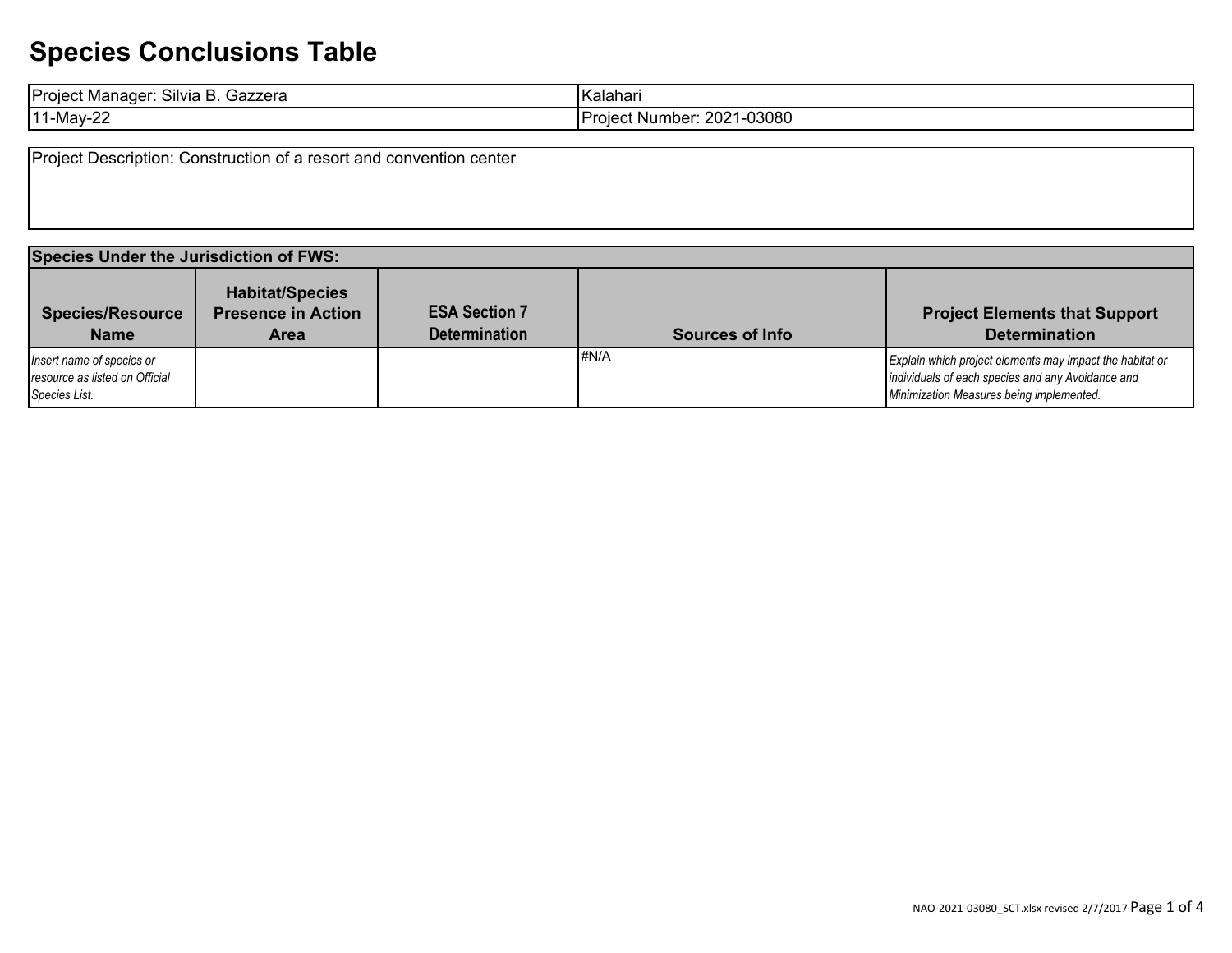| -<br>$\sim \cdot \cdot$<br>Project N<br>Silvia<br>Gazzera<br>. Manaɑer | -17<br><b>Kalahan</b>              |
|------------------------------------------------------------------------|------------------------------------|
| 11-May-∠ <b>∠</b>                                                      | . ∠021-03080<br>√umber:<br>Proieci |

Project Description: Construction of a resort and convention center

| <b>Species Under the Jurisdiction of FWS:</b>                                |                                                                    |                                              |                        |                                                                                                                                                           |  |
|------------------------------------------------------------------------------|--------------------------------------------------------------------|----------------------------------------------|------------------------|-----------------------------------------------------------------------------------------------------------------------------------------------------------|--|
| <b>Species/Resource</b><br><b>Name</b>                                       | <b>Habitat/Species</b><br><b>Presence in Action</b><br><b>Area</b> | <b>ESA Section 7</b><br><b>Determination</b> | <b>Sources of Info</b> | <b>Project Elements that Support</b><br><b>Determination</b>                                                                                              |  |
| Insert name of species or<br>resource as listed on Official<br>Species List. |                                                                    |                                              | #N/A                   | Explain which project elements may impact the habitat or<br>individuals of each species and any Avoidance and<br>Minimization Measures being implemented. |  |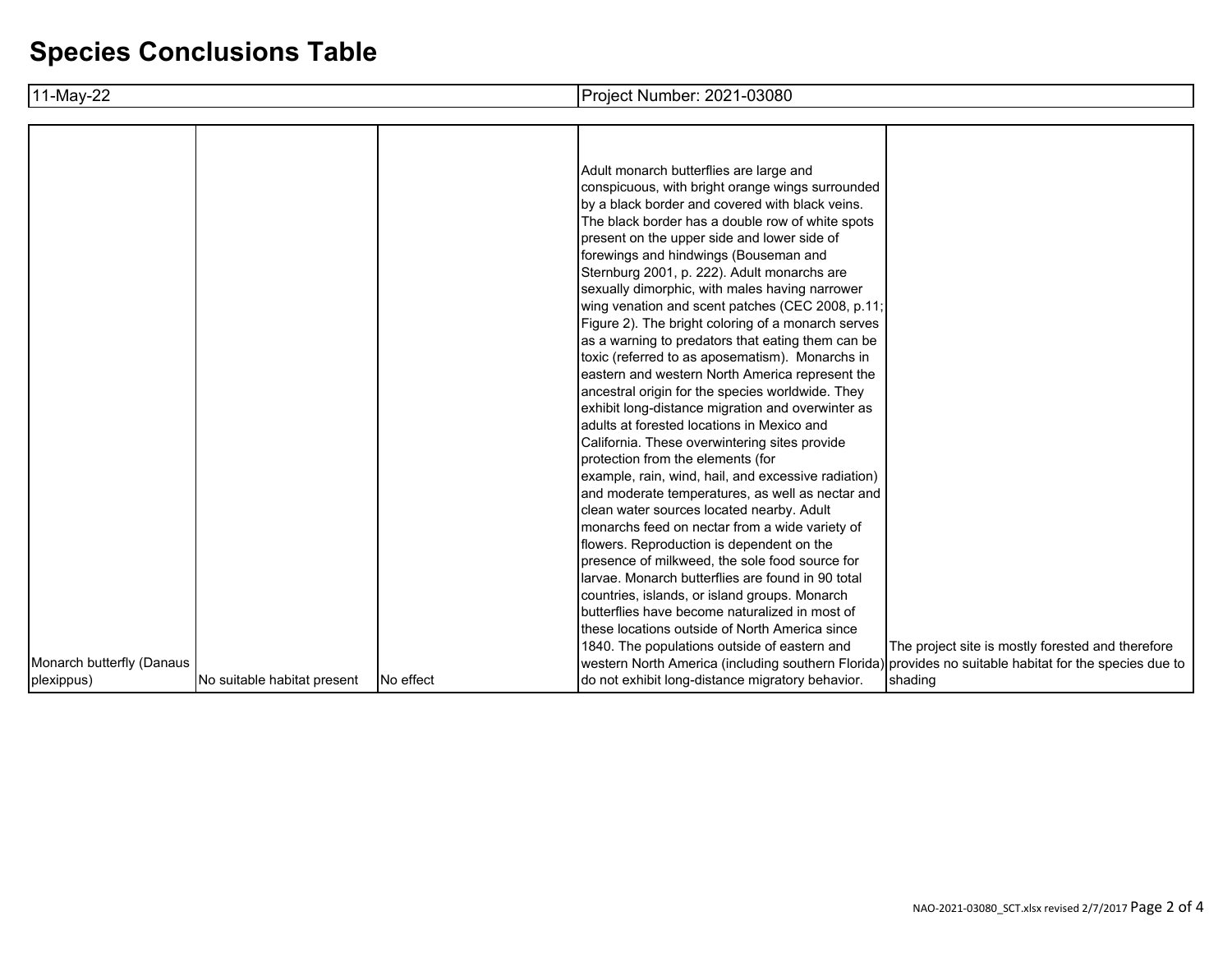| 11-May-22                 |                             |           | Project Number: 2021-03080                                                                                                                                                                                                                                                                                                                                                                                                                                                                                                                                                                                                                                                                                                                                                                                                                                                                                                                                                                                                                                                                                                                                                                                                                                                  |                                                   |
|---------------------------|-----------------------------|-----------|-----------------------------------------------------------------------------------------------------------------------------------------------------------------------------------------------------------------------------------------------------------------------------------------------------------------------------------------------------------------------------------------------------------------------------------------------------------------------------------------------------------------------------------------------------------------------------------------------------------------------------------------------------------------------------------------------------------------------------------------------------------------------------------------------------------------------------------------------------------------------------------------------------------------------------------------------------------------------------------------------------------------------------------------------------------------------------------------------------------------------------------------------------------------------------------------------------------------------------------------------------------------------------|---------------------------------------------------|
|                           |                             |           |                                                                                                                                                                                                                                                                                                                                                                                                                                                                                                                                                                                                                                                                                                                                                                                                                                                                                                                                                                                                                                                                                                                                                                                                                                                                             |                                                   |
|                           |                             |           | Adult monarch butterflies are large and<br>conspicuous, with bright orange wings surrounded<br>by a black border and covered with black veins.<br>The black border has a double row of white spots<br>present on the upper side and lower side of<br>forewings and hindwings (Bouseman and<br>Sternburg 2001, p. 222). Adult monarchs are<br>sexually dimorphic, with males having narrower<br>wing venation and scent patches (CEC 2008, p.11;<br>Figure 2). The bright coloring of a monarch serves<br>as a warning to predators that eating them can be<br>toxic (referred to as aposematism). Monarchs in<br>eastern and western North America represent the<br>ancestral origin for the species worldwide. They<br>exhibit long-distance migration and overwinter as<br>adults at forested locations in Mexico and<br>California. These overwintering sites provide<br>protection from the elements (for<br>example, rain, wind, hail, and excessive radiation)<br>and moderate temperatures, as well as nectar and<br>clean water sources located nearby. Adult<br>monarchs feed on nectar from a wide variety of<br>flowers. Reproduction is dependent on the<br>presence of milkweed, the sole food source for<br>larvae. Monarch butterflies are found in 90 total |                                                   |
|                           |                             |           | countries, islands, or island groups. Monarch<br>butterflies have become naturalized in most of                                                                                                                                                                                                                                                                                                                                                                                                                                                                                                                                                                                                                                                                                                                                                                                                                                                                                                                                                                                                                                                                                                                                                                             |                                                   |
|                           |                             |           | these locations outside of North America since<br>1840. The populations outside of eastern and                                                                                                                                                                                                                                                                                                                                                                                                                                                                                                                                                                                                                                                                                                                                                                                                                                                                                                                                                                                                                                                                                                                                                                              | The project site is mostly forested and therefore |
| Monarch butterfly (Danaus |                             |           | western North America (including southern Florida) provides no suitable habitat for the species due to                                                                                                                                                                                                                                                                                                                                                                                                                                                                                                                                                                                                                                                                                                                                                                                                                                                                                                                                                                                                                                                                                                                                                                      |                                                   |
| plexippus)                | No suitable habitat present | No effect | do not exhibit long-distance migratory behavior.                                                                                                                                                                                                                                                                                                                                                                                                                                                                                                                                                                                                                                                                                                                                                                                                                                                                                                                                                                                                                                                                                                                                                                                                                            | shading                                           |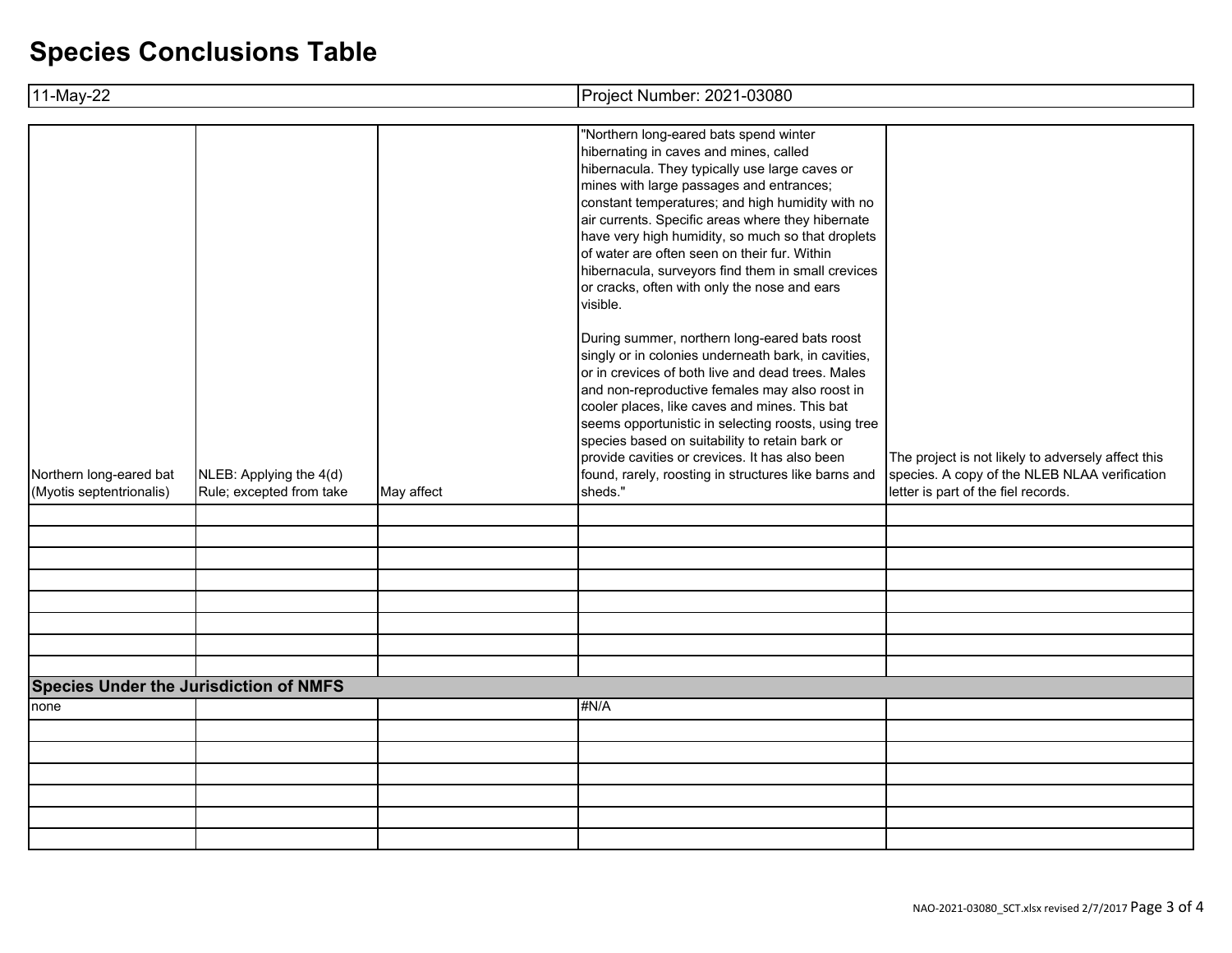| 11-May-22                                           |                                                     |            | Project Number: 2021-03080                                                                                                                                                                                                                                                                                                                                                                                                                                                                                                                                                                                                                                                                                                                                                                                                                                                                                                                                                                                   |                                                                                                                                            |  |  |
|-----------------------------------------------------|-----------------------------------------------------|------------|--------------------------------------------------------------------------------------------------------------------------------------------------------------------------------------------------------------------------------------------------------------------------------------------------------------------------------------------------------------------------------------------------------------------------------------------------------------------------------------------------------------------------------------------------------------------------------------------------------------------------------------------------------------------------------------------------------------------------------------------------------------------------------------------------------------------------------------------------------------------------------------------------------------------------------------------------------------------------------------------------------------|--------------------------------------------------------------------------------------------------------------------------------------------|--|--|
|                                                     |                                                     |            |                                                                                                                                                                                                                                                                                                                                                                                                                                                                                                                                                                                                                                                                                                                                                                                                                                                                                                                                                                                                              |                                                                                                                                            |  |  |
| Northern long-eared bat<br>(Myotis septentrionalis) | NLEB: Applying the 4(d)<br>Rule; excepted from take | May affect | "Northern long-eared bats spend winter<br>hibernating in caves and mines, called<br>hibernacula. They typically use large caves or<br>mines with large passages and entrances;<br>constant temperatures; and high humidity with no<br>air currents. Specific areas where they hibernate<br>have very high humidity, so much so that droplets<br>of water are often seen on their fur. Within<br>hibernacula, surveyors find them in small crevices<br>or cracks, often with only the nose and ears<br>visible.<br>During summer, northern long-eared bats roost<br>singly or in colonies underneath bark, in cavities,<br>or in crevices of both live and dead trees. Males<br>and non-reproductive females may also roost in<br>cooler places, like caves and mines. This bat<br>seems opportunistic in selecting roosts, using tree<br>species based on suitability to retain bark or<br>provide cavities or crevices. It has also been<br>found, rarely, roosting in structures like barns and<br>sheds." | The project is not likely to adversely affect this<br>species. A copy of the NLEB NLAA verification<br>letter is part of the fiel records. |  |  |
|                                                     |                                                     |            |                                                                                                                                                                                                                                                                                                                                                                                                                                                                                                                                                                                                                                                                                                                                                                                                                                                                                                                                                                                                              |                                                                                                                                            |  |  |
|                                                     |                                                     |            |                                                                                                                                                                                                                                                                                                                                                                                                                                                                                                                                                                                                                                                                                                                                                                                                                                                                                                                                                                                                              |                                                                                                                                            |  |  |
|                                                     |                                                     |            |                                                                                                                                                                                                                                                                                                                                                                                                                                                                                                                                                                                                                                                                                                                                                                                                                                                                                                                                                                                                              |                                                                                                                                            |  |  |
|                                                     |                                                     |            |                                                                                                                                                                                                                                                                                                                                                                                                                                                                                                                                                                                                                                                                                                                                                                                                                                                                                                                                                                                                              |                                                                                                                                            |  |  |
|                                                     |                                                     |            |                                                                                                                                                                                                                                                                                                                                                                                                                                                                                                                                                                                                                                                                                                                                                                                                                                                                                                                                                                                                              |                                                                                                                                            |  |  |
|                                                     |                                                     |            |                                                                                                                                                                                                                                                                                                                                                                                                                                                                                                                                                                                                                                                                                                                                                                                                                                                                                                                                                                                                              |                                                                                                                                            |  |  |
|                                                     |                                                     |            |                                                                                                                                                                                                                                                                                                                                                                                                                                                                                                                                                                                                                                                                                                                                                                                                                                                                                                                                                                                                              |                                                                                                                                            |  |  |
|                                                     |                                                     |            |                                                                                                                                                                                                                                                                                                                                                                                                                                                                                                                                                                                                                                                                                                                                                                                                                                                                                                                                                                                                              |                                                                                                                                            |  |  |
|                                                     | <b>Species Under the Jurisdiction of NMFS</b>       |            |                                                                                                                                                                                                                                                                                                                                                                                                                                                                                                                                                                                                                                                                                                                                                                                                                                                                                                                                                                                                              |                                                                                                                                            |  |  |
| none                                                |                                                     |            | #N/A                                                                                                                                                                                                                                                                                                                                                                                                                                                                                                                                                                                                                                                                                                                                                                                                                                                                                                                                                                                                         |                                                                                                                                            |  |  |
|                                                     |                                                     |            |                                                                                                                                                                                                                                                                                                                                                                                                                                                                                                                                                                                                                                                                                                                                                                                                                                                                                                                                                                                                              |                                                                                                                                            |  |  |
|                                                     |                                                     |            |                                                                                                                                                                                                                                                                                                                                                                                                                                                                                                                                                                                                                                                                                                                                                                                                                                                                                                                                                                                                              |                                                                                                                                            |  |  |
|                                                     |                                                     |            |                                                                                                                                                                                                                                                                                                                                                                                                                                                                                                                                                                                                                                                                                                                                                                                                                                                                                                                                                                                                              |                                                                                                                                            |  |  |
|                                                     |                                                     |            |                                                                                                                                                                                                                                                                                                                                                                                                                                                                                                                                                                                                                                                                                                                                                                                                                                                                                                                                                                                                              |                                                                                                                                            |  |  |
|                                                     |                                                     |            |                                                                                                                                                                                                                                                                                                                                                                                                                                                                                                                                                                                                                                                                                                                                                                                                                                                                                                                                                                                                              |                                                                                                                                            |  |  |
|                                                     |                                                     |            |                                                                                                                                                                                                                                                                                                                                                                                                                                                                                                                                                                                                                                                                                                                                                                                                                                                                                                                                                                                                              |                                                                                                                                            |  |  |